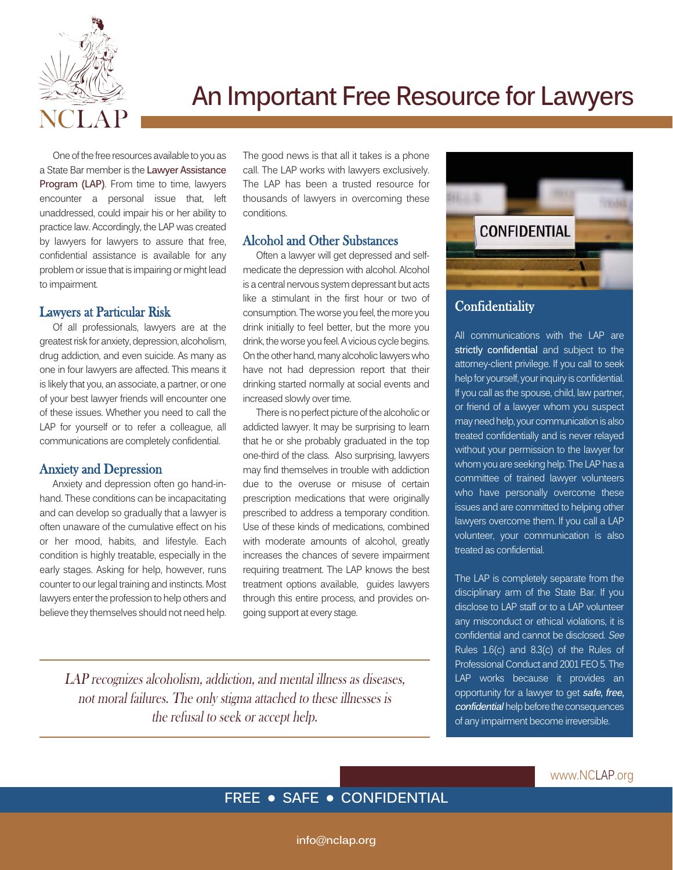

# **An Important Free Resource for Lawyers**

One of the free resources available to you as a State Bar member is the **Lawyer Assistance Program (LAP)**. From time to time, lawyers encounter a personal issue that, left unaddressed, could impair his or her ability to practice law. Accordingly, the LAP was created by lawyers for lawyers to assure that free, confidential assistance is available for any problem or issue that is impairing or might lead to impairment.

### Lawyers at Particular Risk

Of all professionals, lawyers are at the greatest risk for anxiety, depression, alcoholism, drug addiction, and even suicide. As many as one in four lawyers are affected. This means it is likely that you, an associate, a partner, or one of your best lawyer friends will encounter one of these issues. Whether you need to call the LAP for yourself or to refer a colleague, all communications are completely confidential.

#### Anxiety and Depression

Anxiety and depression often go hand-inhand. These conditions can be incapacitating and can develop so gradually that a lawyer is often unaware of the cumulative effect on his or her mood, habits, and lifestyle. Each condition is highly treatable, especially in the early stages. Asking for help, however, runs counter to our legal training and instincts. Most lawyers enter the profession to help others and believe they themselves should not need help. The good news is that all it takes is a phone call. The LAP works with lawyers exclusively. The LAP has been a trusted resource for thousands of lawyers in overcoming these conditions.

## Alcohol and Other Substances

Often a lawyer will get depressed and selfmedicate the depression with alcohol. Alcohol is a central nervous system depressant but acts like a stimulant in the first hour or two of consumption. The worse you feel, the more you drink initially to feel better, but the more you drink, the worse you feel. A vicious cycle begins. On the other hand, many alcoholic lawyers who have not had depression report that their drinking started normally at social events and increased slowly over time.

There is no perfect picture of the alcoholic or addicted lawyer. It may be surprising to learn that he or she probably graduated in the top one-third of the class. Also surprising, lawyers may find themselves in trouble with addiction due to the overuse or misuse of certain prescription medications that were originally prescribed to address a temporary condition. Use of these kinds of medications, combined with moderate amounts of alcohol, greatly increases the chances of severe impairment requiring treatment. The LAP knows the best treatment options available, guides lawyers through this entire process, and provides ongoing support at every stage.





## **Confidentiality**

All communications with the LAP are **strictly confidential** and subject to the attorney-client privilege. If you call to seek help for yourself, your inquiry is confidential. If you call as the spouse, child, law partner, or friend of a lawyer whom you suspect may need help, your communication is also treated confidentially and is never relayed without your permission to the lawyer for whom you are seeking help. The LAP has a committee of trained lawyer volunteers who have personally overcome these issues and are committed to helping other lawyers overcome them. If you call a LAP volunteer, your communication is also treated as confidential.

The LAP is completely separate from the disciplinary arm of the State Bar. If you disclose to LAP staff or to a LAP volunteer any misconduct or ethical violations, it is confidential and cannot be disclosed. See Rules 1.6(c) and 8.3(c) of the Rules of Professional Conduct and 2001 FEO 5. The LAP works because it provides an opportunity for a lawyer to get **safe, free, confidential** help before the consequences of any impairment become irreversible.

# **FREE • SAFE • CONFIDENTIAL**